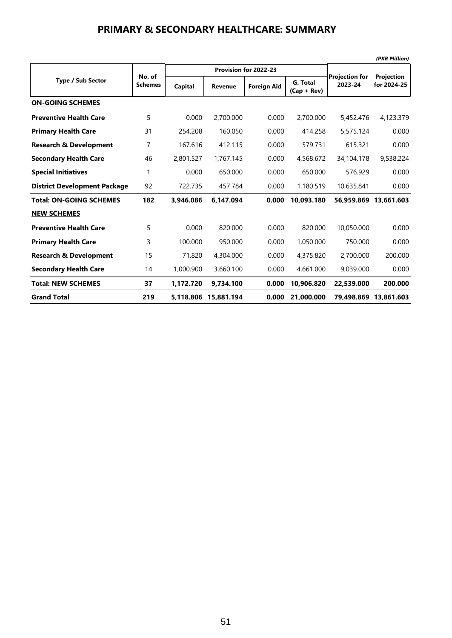#### **PRIMARY & SECONDARY HEALTHCARE: SUMMARY**

|                                     |                          |           |                |                       |                           |                                  | (PKR Million)                    |
|-------------------------------------|--------------------------|-----------|----------------|-----------------------|---------------------------|----------------------------------|----------------------------------|
|                                     |                          |           |                | Provision for 2022-23 |                           |                                  |                                  |
| <b>Type / Sub Sector</b>            | No. of<br><b>Schemes</b> | Capital   | <b>Revenue</b> | <b>Foreign Aid</b>    | G. Total<br>$(Cap + Rev)$ | <b>Projection for</b><br>2023-24 | <b>Projection</b><br>for 2024-25 |
| <b>ON-GOING SCHEMES</b>             |                          |           |                |                       |                           |                                  |                                  |
| <b>Preventive Health Care</b>       | 5                        | 0.000     | 2,700.000      | 0.000                 | 2,700.000                 | 5,452.476                        | 4,123.379                        |
| <b>Primary Health Care</b>          | 31                       | 254.208   | 160.050        | 0.000                 | 414.258                   | 5,575.124                        | 0.000                            |
| <b>Research &amp; Development</b>   | 7                        | 167.616   | 412.115        | 0.000                 | 579.731                   | 615.321                          | 0.000                            |
| <b>Secondary Health Care</b>        | 46                       | 2,801.527 | 1,767.145      | 0.000                 | 4,568.672                 | 34,104.178                       | 9,538.224                        |
| <b>Special Initiatives</b>          | 1                        | 0.000     | 650.000        | 0.000                 | 650.000                   | 576.929                          | 0.000                            |
| <b>District Development Package</b> | 92                       | 722.735   | 457.784        | 0.000                 | 1,180.519                 | 10,635.841                       | 0.000                            |
| <b>Total: ON-GOING SCHEMES</b>      | 182                      | 3,946.086 | 6.147.094      | 0.000                 | 10,093.180                | 56,959.869                       | 13.661.603                       |
| <b>NEW SCHEMES</b>                  |                          |           |                |                       |                           |                                  |                                  |
| <b>Preventive Health Care</b>       | 5                        | 0.000     | 820.000        | 0.000                 | 820.000                   | 10,050.000                       | 0.000                            |
| <b>Primary Health Care</b>          | 3                        | 100.000   | 950.000        | 0.000                 | 1,050.000                 | 750.000                          | 0.000                            |
| <b>Research &amp; Development</b>   | 15                       | 71.820    | 4,304,000      | 0.000                 | 4,375,820                 | 2,700,000                        | 200.000                          |
| <b>Secondary Health Care</b>        | 14                       | 1,000.900 | 3,660.100      | 0.000                 | 4,661.000                 | 9,039.000                        | 0.000                            |
| <b>Total: NEW SCHEMES</b>           | 37                       | 1,172.720 | 9,734.100      | 0.000                 | 10,906.820                | 22,539.000                       | 200.000                          |
| <b>Grand Total</b>                  | 219                      | 5.118.806 | 15.881.194     | 0.000                 | 21.000.000                | 79.498.869                       | 13.861.603                       |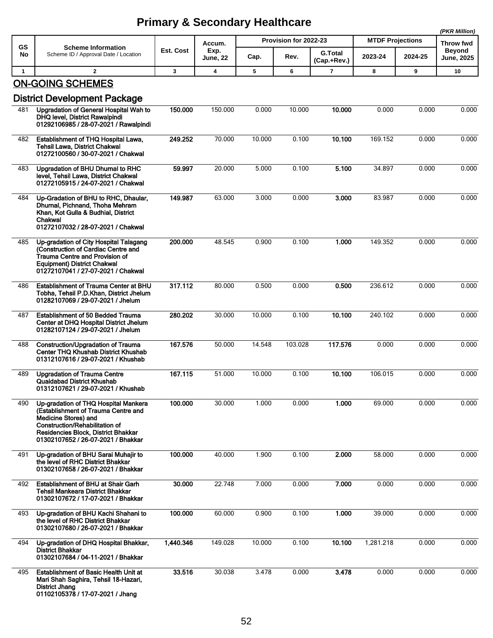|              |                                                                                                                                                                                                                           |              |                |        |                       |                               |                         |         | (PKR Million)              |
|--------------|---------------------------------------------------------------------------------------------------------------------------------------------------------------------------------------------------------------------------|--------------|----------------|--------|-----------------------|-------------------------------|-------------------------|---------|----------------------------|
| <b>GS</b>    | <b>Scheme Information</b>                                                                                                                                                                                                 | Est. Cost    | Accum.<br>Exp. |        | Provision for 2022-23 |                               | <b>MTDF Projections</b> |         | <b>Throw fwd</b><br>Beyond |
| No           | Scheme ID / Approval Date / Location                                                                                                                                                                                      |              | June, 22       | Cap.   | Rev.                  | <b>G.Total</b><br>(Cap.+Rev.) | 2023-24                 | 2024-25 | <b>June, 2025</b>          |
| $\mathbf{1}$ | $\mathbf{2}$                                                                                                                                                                                                              | $\mathbf{3}$ | 4              | 5      | 6                     | $\overline{7}$                | 8                       | 9       | 10                         |
|              | <b>ON-GOING SCHEMES</b><br><b>District Development Package</b>                                                                                                                                                            |              |                |        |                       |                               |                         |         |                            |
| 481          | Upgradation of General Hospital Wah to<br>DHQ level, District Rawalpindi<br>01292106985 / 28-07-2021 / Rawalpindi                                                                                                         | 150.000      | 150.000        | 0.000  | 10.000                | 10.000                        | 0.000                   | 0.000   | 0.000                      |
| 482          | Establishment of THQ Hospital Lawa,<br><b>Tehsil Lawa, District Chakwal</b><br>01272100560 / 30-07-2021 / Chakwal                                                                                                         | 249.252      | 70.000         | 10.000 | 0.100                 | 10.100                        | 169.152                 | 0.000   | 0.000                      |
| 483          | Upgradation of BHU Dhurnal to RHC<br>level, Tehsil Lawa, District Chakwal<br>01272105915 / 24-07-2021 / Chakwal                                                                                                           | 59.997       | 20.000         | 5.000  | 0.100                 | 5.100                         | 34.897                  | 0.000   | 0.000                      |
| 484          | Up-Gradation of BHU to RHC, Dhaular,<br>Dhurnal, Pichnand, Thoha Mehram<br>Khan, Kot Gulla & Budhial, District<br>Chakwal<br>01272107032 / 28-07-2021 / Chakwal                                                           | 149.987      | 63.000         | 3.000  | 0.000                 | 3.000                         | 83.987                  | 0.000   | 0.000                      |
| 485          | Up-gradation of City Hospital Talagang<br>(Construction of Cardiac Centre and<br><b>Trauma Centre and Provision of</b><br><b>Equipment) District Chakwal</b><br>01272107041 / 27-07-2021 / Chakwal                        | 200.000      | 48.545         | 0.900  | 0.100                 | 1.000                         | 149.352                 | 0.000   | 0.000                      |
| 486          | Establishment of Trauma Center at BHU<br>Tobha, Tehsil P.D.Khan, District Jhelum<br>01282107069 / 29-07-2021 / Jhelum                                                                                                     | 317.112      | 80.000         | 0.500  | 0.000                 | 0.500                         | 236.612                 | 0.000   | 0.000                      |
| 487          | <b>Establishment of 50 Bedded Trauma</b><br>Center at DHQ Hospital District Jhelum<br>01282107124 / 29-07-2021 / Jhelum                                                                                                   | 280.202      | 30.000         | 10.000 | 0.100                 | 10.100                        | 240.102                 | 0.000   | 0.000                      |
| 488          | <b>Construction/Upgradation of Trauma</b><br><b>Center THQ Khushab District Khushab</b><br>01312107616 / 29-07-2021 / Khushab                                                                                             | 167.576      | 50.000         | 14.548 | 103.028               | 117.576                       | 0.000                   | 0.000   | 0.000                      |
| 489          | <b>Upgradation of Trauma Centre</b><br>Quaidabad District Khushab<br>01312107621 / 29-07-2021 / Khushab                                                                                                                   | 167.115      | 51.000         | 10.000 | 0.100                 | 10.100                        | 106.015                 | 0.000   | 0.000                      |
| 490          | Up-gradation of THQ Hospital Mankera<br>(Establishment of Trauma Centre and<br><b>Medicine Stores) and</b><br>Construction/Rehabilitation of<br>Residencies Block, District Bhakkar<br>01302107652 / 26-07-2021 / Bhakkar | 100.000      | 30.000         | 1.000  | 0.000                 | 1.000                         | 69.000                  | 0.000   | 0.000                      |
| 491          | Up-gradation of BHU Sarai Muhajir to<br>the level of RHC District Bhakkar<br>01302107658 / 26-07-2021 / Bhakkar                                                                                                           | 100.000      | 40.000         | 1.900  | 0.100                 | 2.000                         | 58.000                  | 0.000   | 0.000                      |
| 492          | Establishment of BHU at Shair Garh<br>Tehsil Mankeara District Bhakkar<br>01302107672 / 17-07-2021 / Bhakkar                                                                                                              | 30.000       | 22.748         | 7.000  | 0.000                 | 7.000                         | 0.000                   | 0.000   | 0.000                      |
| 493          | Up-gradation of BHU Kachi Shahani to<br>the level of RHC District Bhakkar<br>01302107680 / 26-07-2021 / Bhakkar                                                                                                           | 100.000      | 60.000         | 0.900  | 0.100                 | 1.000                         | 39.000                  | 0.000   | 0.000                      |
| 494          | Up-gradation of DHQ Hospital Bhakkar,<br><b>District Bhakkar</b><br>01302107684 / 04-11-2021 / Bhakkar                                                                                                                    | 1,440.346    | 149.028        | 10.000 | 0.100                 | 10.100                        | 1,281.218               | 0.000   | 0.000                      |
| 495          | <b>Establishment of Basic Health Unit at</b><br>Mari Shah Saghira, Tehsil 18-Hazari,<br><b>District Jhang</b><br>01102105378 / 17-07-2021 / Jhang                                                                         | 33.516       | 30.038         | 3.478  | 0.000                 | 3.478                         | 0.000                   | 0.000   | 0.000                      |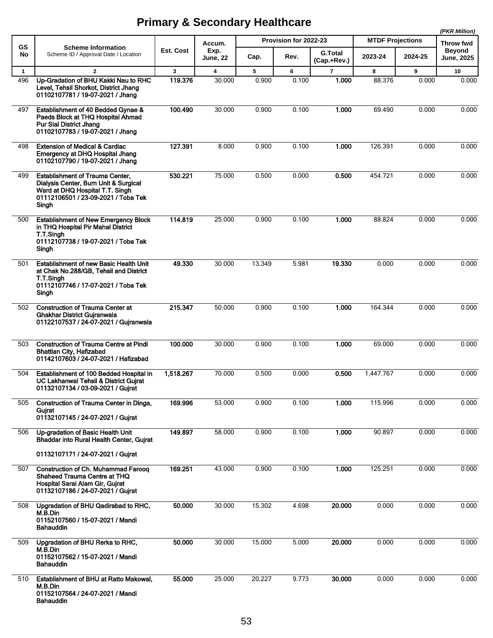|              |                                                                                                                                                                    |           |                  |        |                       |                               |                         |         | (PKR Million)               |
|--------------|--------------------------------------------------------------------------------------------------------------------------------------------------------------------|-----------|------------------|--------|-----------------------|-------------------------------|-------------------------|---------|-----------------------------|
| <b>GS</b>    | <b>Scheme Information</b>                                                                                                                                          |           | Accum.           |        | Provision for 2022-23 |                               | <b>MTDF Projections</b> |         | Throw fwd                   |
| No           | Scheme ID / Approval Date / Location                                                                                                                               | Est. Cost | Exp.<br>June, 22 | Cap.   | Rev.                  | <b>G.Total</b><br>(Cap.+Rev.) | 2023-24                 | 2024-25 | <b>Beyond</b><br>June, 2025 |
| $\mathbf{1}$ | $\overline{2}$                                                                                                                                                     | 3         | 4                | 5      | 6                     | $\overline{7}$                | 8                       | 9       | 10                          |
| 496          | Up-Gradation of BHU Kakki Nau to RHC<br>Level, Tehsil Shorkot, District Jhang<br>01102107781 / 19-07-2021 / Jhang                                                  | 119.376   | 30.000           | 0.900  | 0.100                 | 1.000                         | 88.376                  | 0.000   | 0.000                       |
| 497          | Establishment of 40 Bedded Gynae &<br>Paeds Block at THQ Hospital Ahmad<br><b>Pur Sial District Jhang</b><br>01102107783 / 19-07-2021 / Jhang                      | 100.490   | 30.000           | 0.900  | 0.100                 | 1.000                         | 69.490                  | 0.000   | 0.000                       |
| 498          | <b>Extension of Medical &amp; Cardiac</b><br>Emergency at DHQ Hospital Jhang<br>01102107790 / 19-07-2021 / Jhang                                                   | 127.391   | 8.000            | 0.900  | 0.100                 | 1.000                         | 126.391                 | 0.000   | 0.000                       |
| 499          | <b>Establishment of Trauma Center,</b><br>Dialysis Center, Burn Unit & Surgical<br>Ward at DHQ Hospital T.T. Singh<br>01112106501 / 23-09-2021 / Toba Tek<br>Singh | 530.221   | 75.000           | 0.500  | 0.000                 | 0.500                         | 454.721                 | 0.000   | 0.000                       |
| 500          | <b>Establishment of New Emergency Block</b><br>in THQ Hospital Pir Mahal District<br>T.T.Singh<br>01112107738 / 19-07-2021 / Toba Tek<br>Singh                     | 114.819   | 25.000           | 0.900  | 0.100                 | 1.000                         | 88.824                  | 0.000   | 0.000                       |
| 501          | <b>Establishment of new Basic Health Unit</b><br>at Chak No.288/GB, Tehsil and District<br>T.T.Singh<br>01112107746 / 17-07-2021 / Toba Tek<br>Singh               | 49.330    | 30.000           | 13.349 | 5.981                 | 19.330                        | 0.000                   | 0.000   | 0.000                       |
| 502          | <b>Construction of Trauma Center at</b><br>Ghakhar District Gujranwala<br>01122107537 / 24-07-2021 / Gujranwala                                                    | 215.347   | 50.000           | 0.900  | 0.100                 | 1.000                         | 164.344                 | 0.000   | 0.000                       |
| 503          | <b>Construction of Trauma Centre at Pindi</b><br><b>Bhattian City, Hafizabad</b><br>01142107603 / 24-07-2021 / Hafizabad                                           | 100.000   | 30.000           | 0.900  | 0.100                 | 1.000                         | 69.000                  | 0.000   | 0.000                       |
| 504          | Establishment of 100 Bedded Hospital in<br>UC Lakhanwal Tehsil & District Guirat<br>01132107134 / 03-09-2021 / Gujrat                                              | 1,518.267 | 70.000           | 0.500  | 0.000                 | 0.500                         | 1,447.767               | 0.000   | 0.000                       |
| 505          | Construction of Trauma Center in Dinga,<br>Gujrat<br>01132107145 / 24-07-2021 / Gujrat                                                                             | 169.996   | 53.000           | 0.900  | 0.100                 | 1.000                         | 115.996                 | 0.000   | 0.000                       |
| 506          | Up-gradation of Basic Health Unit<br>Bhaddar into Rural Health Center, Gujrat<br>01132107171 / 24-07-2021 / Gujrat                                                 | 149.897   | 58.000           | 0.900  | 0.100                 | 1.000                         | 90.897                  | 0.000   | 0.000                       |
| 507          | <b>Construction of Ch. Muhammad Farooq</b><br>Shaheed Trauma Centre at THQ<br>Hospital Sarai Alam Gir, Guirat<br>01132107186 / 24-07-2021 / Gujrat                 | 169.251   | 43.000           | 0.900  | 0.100                 | 1.000                         | 125.251                 | 0.000   | 0.000                       |
| 508          | Upgradation of BHU Qadirabad to RHC,<br>M.B.Din<br>01152107560 / 15-07-2021 / Mandi<br>Bahauddin                                                                   | 50.000    | 30.000           | 15.302 | 4.698                 | 20.000                        | 0.000                   | 0.000   | 0.000                       |
| 509          | Upgradation of BHU Rerka to RHC,<br>M.B.Din<br>01152107562 / 15-07-2021 / Mandi<br>Bahauddin                                                                       | 50.000    | 30.000           | 15.000 | 5.000                 | 20.000                        | 0.000                   | 0.000   | 0.000                       |
| 510          | Establishment of BHU at Ratto Makowal,<br>M.B.Din<br>01152107564 / 24-07-2021 / Mandi<br><b>Bahauddin</b>                                                          | 55.000    | 25.000           | 20.227 | 9.773                 | 30.000                        | 0.000                   | 0.000   | 0.000                       |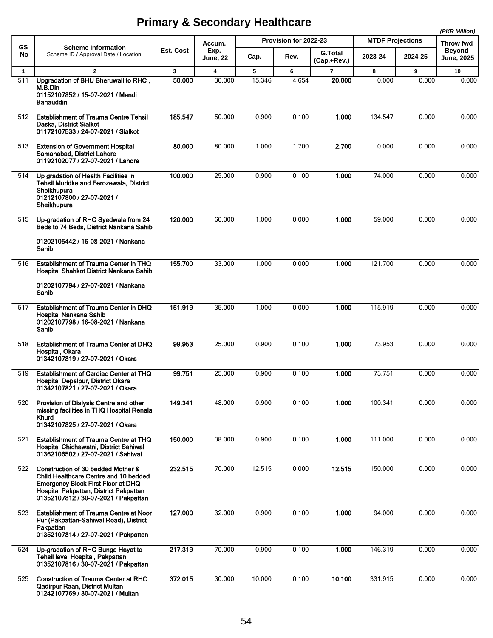|              |                                                                                                                                                                                                            |           |                         |        |                       |                               |                         |         | (PKR Million)               |
|--------------|------------------------------------------------------------------------------------------------------------------------------------------------------------------------------------------------------------|-----------|-------------------------|--------|-----------------------|-------------------------------|-------------------------|---------|-----------------------------|
| <b>GS</b>    | <b>Scheme Information</b>                                                                                                                                                                                  |           | Accum.                  |        | Provision for 2022-23 |                               | <b>MTDF Projections</b> |         | <b>Throw fwd</b>            |
| No           | Scheme ID / Approval Date / Location                                                                                                                                                                       | Est. Cost | Exp.<br><b>June, 22</b> | Cap.   | Rev.                  | <b>G.Total</b><br>(Cap.+Rev.) | 2023-24                 | 2024-25 | <b>Beyond</b><br>June, 2025 |
| $\mathbf{1}$ | $\overline{\mathbf{2}}$                                                                                                                                                                                    | 3         | 4                       | 5      | 6                     | $\overline{7}$                | 8                       | 9       | 10                          |
| 511          | Upgradation of BHU Bheruwall to RHC,<br>M.B.Din<br>01152107852 / 15-07-2021 / Mandi<br><b>Bahauddin</b>                                                                                                    | 50.000    | 30.000                  | 15.346 | 4.654                 | 20.000                        | 0.000                   | 0.000   | 0.000                       |
| 512          | <b>Establishment of Trauma Centre Tehsil</b><br>Daska, District Sialkot<br>01172107533 / 24-07-2021 / Sialkot                                                                                              | 185.547   | 50.000                  | 0.900  | 0.100                 | 1.000                         | 134.547                 | 0.000   | 0.000                       |
| 513          | <b>Extension of Government Hospital</b><br>Samanabad, District Lahore<br>01192102077 / 27-07-2021 / Lahore                                                                                                 | 80.000    | 80.000                  | 1.000  | 1.700                 | 2.700                         | 0.000                   | 0.000   | 0.000                       |
| 514          | Up gradation of Health Facilities in<br>Tehsil Muridke and Ferozewala, District<br>Sheikhupura<br>01212107800 / 27-07-2021 /<br>Sheikhupura                                                                | 100.000   | 25.000                  | 0.900  | 0.100                 | 1.000                         | 74.000                  | 0.000   | 0.000                       |
| 515          | Up-gradation of RHC Syedwala from 24<br>Beds to 74 Beds, District Nankana Sahib<br>01202105442 / 16-08-2021 / Nankana<br>Sahib                                                                             | 120.000   | 60.000                  | 1.000  | 0.000                 | 1.000                         | 59.000                  | 0.000   | 0.000                       |
| 516          | Establishment of Trauma Center in THQ<br>Hospital Shahkot District Nankana Sahib                                                                                                                           | 155.700   | 33.000                  | 1.000  | 0.000                 | 1.000                         | 121.700                 | 0.000   | 0.000                       |
|              | 01202107794 / 27-07-2021 / Nankana<br>Sahib                                                                                                                                                                |           |                         |        |                       |                               |                         |         |                             |
| 517          | Establishment of Trauma Center in DHQ<br>Hospital Nankana Sahib<br>01202107798 / 16-08-2021 / Nankana<br>Sahib                                                                                             | 151.919   | 35.000                  | 1.000  | 0.000                 | 1.000                         | 115.919                 | 0.000   | 0.000                       |
| 518          | Establishment of Trauma Center at DHQ<br>Hospital, Okara<br>01342107819 / 27-07-2021 / Okara                                                                                                               | 99.953    | 25.000                  | 0.900  | 0.100                 | 1.000                         | 73.953                  | 0.000   | 0.000                       |
| 519          | <b>Establishment of Cardiac Center at THQ</b><br>Hospital Depalpur, District Okara<br>01342107821 / 27-07-2021 / Okara                                                                                     | 99.751    | 25.000                  | 0.900  | 0.100                 | 1.000                         | 73.751                  | 0.000   | 0.000                       |
| 520          | Provision of Dialysis Centre and other<br>missing facilities in THQ Hospital Renala<br>Khurd<br>01342107825 / 27-07-2021 / Okara                                                                           | 149.341   | 48.000                  | 0.900  | 0.100                 | 1.000                         | 100.341                 | 0.000   | 0.000                       |
| 521          | Establishment of Trauma Centre at THQ<br>Hospital Chichawatni, District Sahiwal<br>01362106502 / 27-07-2021 / Sahiwal                                                                                      | 150.000   | 38.000                  | 0.900  | 0.100                 | 1.000                         | 111.000                 | 0.000   | 0.000                       |
| 522          | Construction of 30 bedded Mother &<br>Child Healthcare Centre and 10 bedded<br><b>Emergency Block First Floor at DHQ</b><br>Hospital Pakpattan, District Pakpattan<br>01352107812 / 30-07-2021 / Pakpattan | 232.515   | 70.000                  | 12.515 | 0.000                 | 12.515                        | 150.000                 | 0.000   | 0.000                       |
| 523          | <b>Establishment of Trauma Centre at Noor</b><br>Pur (Pakpattan-Sahiwal Road), District<br>Pakpattan<br>01352107814 / 27-07-2021 / Pakpattan                                                               | 127.000   | 32.000                  | 0.900  | 0.100                 | 1.000                         | 94.000                  | 0.000   | 0.000                       |
| 524          | Up-gradation of RHC Bunga Hayat to<br>Tehsil level Hospital, Pakpattan<br>01352107816 / 30-07-2021 / Pakpattan                                                                                             | 217.319   | 70.000                  | 0.900  | 0.100                 | 1.000                         | 146.319                 | 0.000   | 0.000                       |
| 525          | <b>Construction of Trauma Center at RHC</b><br>Qadirpur Raan, District Multan<br>01242107769 / 30-07-2021 / Multan                                                                                         | 372.015   | 30.000                  | 10.000 | 0.100                 | 10.100                        | 331.915                 | 0.000   | 0.000                       |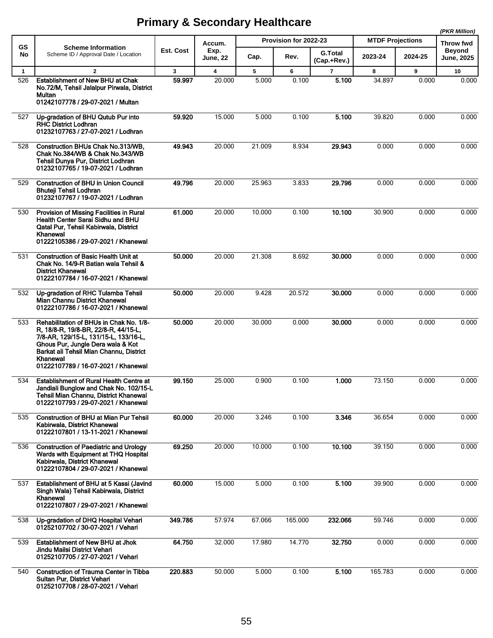|              |                                                                                                                                                                                                                                                             |           |                         |        |                       |                               |                         |         | (PKR Million)                      |
|--------------|-------------------------------------------------------------------------------------------------------------------------------------------------------------------------------------------------------------------------------------------------------------|-----------|-------------------------|--------|-----------------------|-------------------------------|-------------------------|---------|------------------------------------|
| <b>GS</b>    | <b>Scheme Information</b>                                                                                                                                                                                                                                   |           | Accum.                  |        | Provision for 2022-23 |                               | <b>MTDF Projections</b> |         | Throw fwd                          |
| No           | Scheme ID / Approval Date / Location                                                                                                                                                                                                                        | Est. Cost | Exp.<br><b>June, 22</b> | Cap.   | Rev.                  | <b>G.Total</b><br>(Cap.+Rev.) | 2023-24                 | 2024-25 | <b>Beyond</b><br><b>June, 2025</b> |
| $\mathbf{1}$ | $\overline{2}$                                                                                                                                                                                                                                              | 3         | $\overline{\mathbf{4}}$ | 5      | 6                     | $\overline{7}$                | 8                       | 9       | 10                                 |
| 526          | <b>Establishment of New BHU at Chak</b><br>No.72/M, Tehsil Jalalpur Pirwala, District<br>Multan<br>01242107778 / 29-07-2021 / Multan                                                                                                                        | 59.997    | 20.000                  | 5.000  | 0.100                 | 5.100                         | 34.897                  | 0.000   | 0.000                              |
| 527          | Up-gradation of BHU Qutub Pur into<br><b>RHC District Lodhran</b><br>01232107763 / 27-07-2021 / Lodhran                                                                                                                                                     | 59.920    | 15.000                  | 5.000  | 0.100                 | 5.100                         | 39.820                  | 0.000   | 0.000                              |
| 528          | Construction BHUs Chak No.313/WB.<br>Chak No.384/WB & Chak No.343/WB<br>Tehsil Dunya Pur, District Lodhran<br>01232107765 / 19-07-2021 / Lodhran                                                                                                            | 49.943    | 20.000                  | 21.009 | 8.934                 | 29.943                        | 0.000                   | 0.000   | 0.000                              |
| 529          | <b>Construction of BHU in Union Council</b><br><b>Bhuteji Tehsil Lodhran</b><br>01232107767 / 19-07-2021 / Lodhran                                                                                                                                          | 49.796    | 20.000                  | 25.963 | 3.833                 | 29.796                        | 0.000                   | 0.000   | 0.000                              |
| 530          | Provision of Missing Facilities in Rural<br><b>Health Center Sarai Sidhu and BHU</b><br>Qatal Pur, Tehsil Kabirwala, District<br>Khanewal<br>01222105386 / 29-07-2021 / Khanewal                                                                            | 61.000    | 20.000                  | 10.000 | 0.100                 | 10.100                        | 30.900                  | 0.000   | 0.000                              |
| 531          | <b>Construction of Basic Health Unit at</b><br>Chak No. 14/9-R Batian wala Tehsil &<br><b>District Khanewal</b><br>01222107784 / 16-07-2021 / Khanewal                                                                                                      | 50.000    | 20.000                  | 21.308 | 8.692                 | 30,000                        | 0.000                   | 0.000   | 0.000                              |
| 532          | Up-gradation of RHC Tulamba Tehsil<br>Mian Channu District Khanewal<br>01222107786 / 16-07-2021 / Khanewal                                                                                                                                                  | 50.000    | 20.000                  | 9.428  | 20.572                | 30,000                        | 0.000                   | 0.000   | 0.000                              |
| 533          | Rehabilitation of BHUs in Chak No. 1/8-<br>R, 18/8-R, 19/8-BR, 22/8-R, 44/15-L,<br>7/8-AR, 129/15-L, 131/15-L, 133/16-L,<br>Ghous Pur, Jungle Dera wala & Kot<br>Barkat ali Tehsil Mian Channu, District<br>Khanewal<br>01222107789 / 16-07-2021 / Khanewal | 50.000    | 20.000                  | 30.000 | 0.000                 | 30.000                        | 0.000                   | 0.000   | 0.000                              |
| 534          | <b>Establishment of Rural Health Centre at</b><br>Jandiali Bunglow and Chak No. 102/15-L<br>Tehsil Mian Channu, District Khanewal<br>01222107793 / 29-07-2021 / Khanewal                                                                                    | 99.150    | 25.000                  | 0.900  | 0.100                 | 1.000                         | 73.150                  | 0.000   | 0.000                              |
| 535          | <b>Construction of BHU at Mian Pur Tehsil</b><br>Kabirwala, District Khanewal<br>01222107801 / 13-11-2021 / Khanewal                                                                                                                                        | 60.000    | 20.000                  | 3.246  | 0.100                 | 3.346                         | 36.654                  | 0.000   | 0.000                              |
| 536          | <b>Construction of Paediatric and Urology</b><br>Wards with Equipment at THQ Hospital<br>Kabirwala, District Khanewal<br>01222107804 / 29-07-2021 / Khanewal                                                                                                | 69.250    | 20.000                  | 10.000 | 0.100                 | 10.100                        | 39.150                  | 0.000   | 0.000                              |
| 537          | Establishment of BHU at 5 Kassi (Javind<br>Singh Wala) Tehsil Kabirwala, District<br>Khanewal<br>01222107807 / 29-07-2021 / Khanewal                                                                                                                        | 60.000    | 15.000                  | 5.000  | 0.100                 | 5.100                         | 39.900                  | 0.000   | 0.000                              |
| 538          | Up-gradation of DHQ Hospital Vehari<br>01252107702 / 30-07-2021 / Vehari                                                                                                                                                                                    | 349.786   | 57.974                  | 67.066 | 165.000               | 232.066                       | 59.746                  | 0.000   | 0.000                              |
| 539          | <b>Establishment of New BHU at Jhok</b><br>Jindu Mailsi District Vehari<br>01252107705 / 27-07-2021 / Vehari                                                                                                                                                | 64.750    | 32.000                  | 17.980 | 14.770                | 32.750                        | 0.000                   | 0.000   | 0.000                              |
| 540          | Construction of Trauma Center in Tibba<br>Sultan Pur, District Vehari<br>01252107708 / 28-07-2021 / Vehari                                                                                                                                                  | 220.883   | 50.000                  | 5.000  | 0.100                 | 5.100                         | 165.783                 | 0.000   | 0.000                              |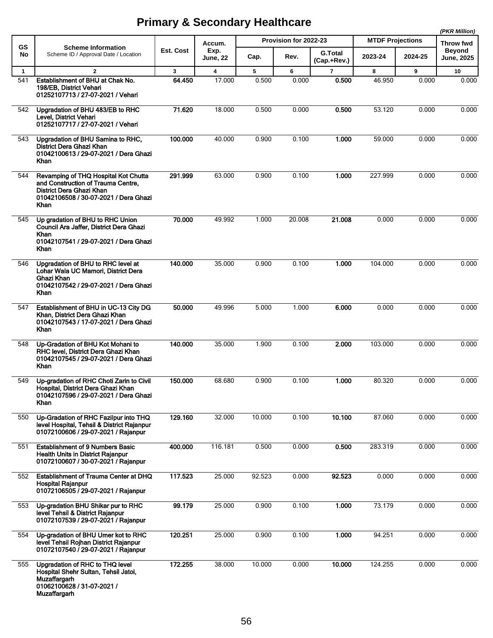|              |                                                                                                                                                         |           |                         |        |                       |                               |                         |         | (PKR Million)                      |
|--------------|---------------------------------------------------------------------------------------------------------------------------------------------------------|-----------|-------------------------|--------|-----------------------|-------------------------------|-------------------------|---------|------------------------------------|
| <b>GS</b>    | <b>Scheme Information</b>                                                                                                                               |           | Accum.                  |        | Provision for 2022-23 |                               | <b>MTDF Projections</b> |         | Throw fwd                          |
| No           | Scheme ID / Approval Date / Location                                                                                                                    | Est. Cost | Exp.<br><b>June, 22</b> | Cap.   | Rev.                  | <b>G.Total</b><br>(Cap.+Rev.) | 2023-24                 | 2024-25 | <b>Beyond</b><br><b>June, 2025</b> |
| $\mathbf{1}$ | $\mathbf{2}$                                                                                                                                            | 3         | $\overline{\mathbf{4}}$ | 5      | 6                     | $\overline{7}$                | 8                       | 9       | 10                                 |
| 541          | Establishment of BHU at Chak No.<br>198/EB, District Vehari<br>01252107713 / 27-07-2021 / Vehari                                                        | 64.450    | 17.000                  | 0.500  | 0.000                 | 0.500                         | 46.950                  | 0.000   | 0.000                              |
| 542          | Upgradation of BHU 483/EB to RHC<br>Level, District Vehari<br>01252107717 / 27-07-2021 / Vehari                                                         | 71.620    | 18.000                  | 0.500  | 0.000                 | 0.500                         | 53.120                  | 0.000   | 0.000                              |
| 543          | Upgradation of BHU Samina to RHC,<br>District Dera Ghazi Khan<br>01042100613 / 29-07-2021 / Dera Ghazi<br>Khan                                          | 100.000   | 40.000                  | 0.900  | 0.100                 | 1.000                         | 59.000                  | 0.000   | 0.000                              |
| 544          | Revamping of THQ Hospital Kot Chutta<br>and Construction of Trauma Centre,<br>District Dera Ghazi Khan<br>01042106508 / 30-07-2021 / Dera Ghazi<br>Khan | 291.999   | 63.000                  | 0.900  | 0.100                 | 1.000                         | 227.999                 | 0.000   | 0.000                              |
| 545          | Up gradation of BHU to RHC Union<br>Council Ara Jaffer, District Dera Ghazi<br>Khan<br>01042107541 / 29-07-2021 / Dera Ghazi<br>Khan                    | 70.000    | 49.992                  | 1.000  | 20.008                | 21.008                        | 0.000                   | 0.000   | 0.000                              |
| 546          | Upgradation of BHU to RHC level at<br>Lohar Wala UC Mamori, District Dera<br>Ghazi Khan<br>01042107542 / 29-07-2021 / Dera Ghazi<br>Khan                | 140.000   | 35.000                  | 0.900  | 0.100                 | 1.000                         | 104.000                 | 0.000   | 0.000                              |
| 547          | Establishment of BHU in UC-13 City DG<br>Khan, District Dera Ghazi Khan<br>01042107543 / 17-07-2021 / Dera Ghazi<br>Khan                                | 50.000    | 49.996                  | 5.000  | 1.000                 | 6.000                         | 0.000                   | 0.000   | 0.000                              |
| 548          | Up-Gradation of BHU Kot Mohani to<br>RHC level, District Dera Ghazi Khan<br>01042107545 / 29-07-2021 / Dera Ghazi<br>Khan                               | 140.000   | 35.000                  | 1.900  | 0.100                 | 2.000                         | 103.000                 | 0.000   | 0.000                              |
| 549          | Up-gradation of RHC Choti Zarin to Civil<br>Hospital, District Dera Ghazi Khan<br>01042107596 / 29-07-2021 / Dera Ghazi<br>Khan                         | 150.000   | 68.680                  | 0.900  | 0.100                 | 1.000                         | 80.320                  | 0.000   | 0.000                              |
| 550          | Up-Gradation of RHC Fazilpur into THQ<br>level Hospital, Tehsil & District Rajanpur<br>01072100606 / 29-07-2021 / Rajanpur                              | 129.160   | 32.000                  | 10.000 | 0.100                 | 10.100                        | 87.060                  | 0.000   | 0.000                              |
| 551          | <b>Establishment of 9 Numbers Basic</b><br>Health Units in District Rajanpur<br>01072100607 / 30-07-2021 / Rajanpur                                     | 400.000   | 116.181                 | 0.500  | 0.000                 | 0.500                         | 283.319                 | 0.000   | 0.000                              |
| 552          | Establishment of Trauma Center at DHQ<br>Hospital Rajanpur<br>01072106505 / 29-07-2021 / Rajanpur                                                       | 117.523   | 25.000                  | 92.523 | 0.000                 | 92.523                        | 0.000                   | 0.000   | 0.000                              |
| 553          | Up-gradation BHU Shikar pur to RHC<br>level Tehsil & District Rajanpur<br>01072107539 / 29-07-2021 / Rajanpur                                           | 99.179    | 25.000                  | 0.900  | 0.100                 | 1.000                         | 73.179                  | 0.000   | 0.000                              |
| 554          | Up-gradation of BHU Umer kot to RHC<br>level Tehsil Rojhan District Rajanpur<br>01072107540 / 29-07-2021 / Rajanpur                                     | 120 251   | 25.000                  | 0.900  | 0.100                 | 1.000                         | 94.251                  | 0.000   | 0.000                              |
| 555          | Upgradation of RHC to THQ level<br>Hospital Shehr Sultan, Tehsil Jatoi,<br><b>Muzaffargarh</b><br>01062100628 / 31-07-2021 /<br><b>Muzaffargarh</b>     | 172.255   | 38.000                  | 10.000 | 0.000                 | 10.000                        | 124.255                 | 0.000   | 0.000                              |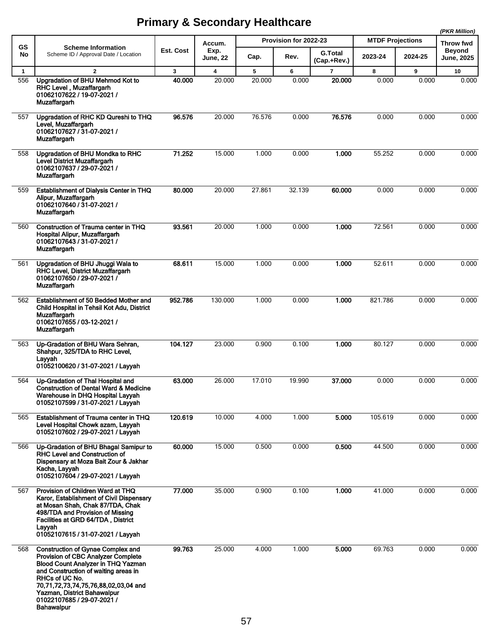|              |                                                                                                                                                                                                                                                                                                                 |                  |                         |        |                       |                               |                         |         | (PKR Million)              |
|--------------|-----------------------------------------------------------------------------------------------------------------------------------------------------------------------------------------------------------------------------------------------------------------------------------------------------------------|------------------|-------------------------|--------|-----------------------|-------------------------------|-------------------------|---------|----------------------------|
| <b>GS</b>    | <b>Scheme Information</b>                                                                                                                                                                                                                                                                                       | <b>Est. Cost</b> | Accum.<br>Exp.          |        | Provision for 2022-23 |                               | <b>MTDF Projections</b> |         | Throw fwd<br><b>Beyond</b> |
| No           | Scheme ID / Approval Date / Location                                                                                                                                                                                                                                                                            |                  | <b>June, 22</b>         | Cap.   | Rev.                  | <b>G.Total</b><br>(Cap.+Rev.) | 2023-24                 | 2024-25 | <b>June, 2025</b>          |
| $\mathbf{1}$ | $\overline{2}$                                                                                                                                                                                                                                                                                                  | $\mathbf{3}$     | $\overline{\mathbf{4}}$ | 5      | 6                     | $\overline{7}$                | 8                       | 9       | 10                         |
| 556          | Upgradation of BHU Mehmod Kot to<br>RHC Level, Muzaffargarh<br>01062107622 / 19-07-2021 /<br><b>Muzaffargarh</b>                                                                                                                                                                                                | 40.000           | 20.000                  | 20.000 | 0.000                 | 20.000                        | 0.000                   | 0.000   | 0.000                      |
| 557          | Upgradation of RHC KD Qureshi to THQ<br>Level, Muzaffargarh<br>01062107627 / 31-07-2021 /<br><b>Muzaffargarh</b>                                                                                                                                                                                                | 96.576           | 20.000                  | 76.576 | 0.000                 | 76.576                        | 0.000                   | 0.000   | 0.000                      |
| 558          | Upgradation of BHU Mondka to RHC<br>Level District Muzaffargarh<br>01062107637 / 29-07-2021 /<br><b>Muzaffargarh</b>                                                                                                                                                                                            | 71.252           | 15.000                  | 1.000  | 0.000                 | 1.000                         | 55.252                  | 0.000   | 0.000                      |
| 559          | Establishment of Dialysis Center in THQ<br>Alipur, Muzaffargarh<br>01062107640 / 31-07-2021 /<br><b>Muzaffargarh</b>                                                                                                                                                                                            | 80,000           | 20.000                  | 27.861 | 32.139                | 60.000                        | 0.000                   | 0.000   | 0.000                      |
| 560          | Construction of Trauma center in THQ<br>Hospital Alipur, Muzaffargarh<br>01062107643 / 31-07-2021 /<br>Muzaffargarh                                                                                                                                                                                             | 93.561           | 20.000                  | 1.000  | 0.000                 | 1.000                         | 72.561                  | 0.000   | 0.000                      |
| 561          | Upgradation of BHU Jhuggi Wala to<br>RHC Level, District Muzaffargarh<br>01062107650 / 29-07-2021 /<br><b>Muzaffargarh</b>                                                                                                                                                                                      | 68.611           | 15.000                  | 1.000  | 0.000                 | 1.000                         | 52.611                  | 0.000   | 0.000                      |
| 562          | Establishment of 50 Bedded Mother and<br>Child Hospital in Tehsil Kot Adu, District<br>Muzaffargarh<br>01062107655 / 03-12-2021 /<br><b>Muzaffargarh</b>                                                                                                                                                        | 952.786          | 130.000                 | 1.000  | 0.000                 | 1.000                         | 821.786                 | 0.000   | 0.000                      |
| 563          | Up-Gradation of BHU Wara Sehran,<br>Shahpur, 325/TDA to RHC Level,<br>Layyah<br>01052100620 / 31-07-2021 / Layyah                                                                                                                                                                                               | 104.127          | 23.000                  | 0.900  | 0.100                 | 1.000                         | 80.127                  | 0.000   | 0.000                      |
| 564          | Up-Gradation of Thal Hospital and<br><b>Construction of Dental Ward &amp; Medicine</b><br>Warehouse in DHQ Hospital Layyah<br>01052107599 / 31-07-2021 / Layyah                                                                                                                                                 | 63.000           | 26.000                  | 17.010 | 19.990                | 37.000                        | 0.000                   | 0.000   | 0.000                      |
| 565          | Establishment of Trauma center in THQ<br>Level Hospital Chowk azam, Layyah<br>01052107602 / 29-07-2021 / Layyah                                                                                                                                                                                                 | 120.619          | 10.000                  | 4.000  | 1.000                 | 5.000                         | 105.619                 | 0.000   | 0.000                      |
| 566          | Up-Gradation of BHU Bhagal Samipur to<br>RHC Level and Construction of<br>Dispensary at Moza Bait Zour & Jakhar<br>Kacha, Layyah<br>01052107604 / 29-07-2021 / Layyah                                                                                                                                           | 60.000           | 15.000                  | 0.500  | 0.000                 | 0.500                         | 44.500                  | 0.000   | 0.000                      |
| 567          | Provision of Children Ward at THQ<br>Karor, Establishment of Civil Dispensary<br>at Mosan Shah, Chak 87/TDA, Chak<br>498/TDA and Provision of Missing<br>Facilities at GRD 64/TDA, District<br>Layyah<br>01052107615 / 31-07-2021 / Layyah                                                                      | 77.000           | 35.000                  | 0.900  | 0.100                 | 1.000                         | 41.000                  | 0.000   | 0.000                      |
| 568          | <b>Construction of Gynae Complex and</b><br>Provision of CBC Analyzer Complete<br><b>Blood Count Analyzer in THQ Yazman</b><br>and Construction of waiting areas in<br>RHCs of UC No.<br>70,71,72,73,74,75,76,88,02,03,04 and<br>Yazman, District Bahawalpur<br>01022107685 / 29-07-2021 /<br><b>Bahawalpur</b> | 99.763           | 25.000                  | 4.000  | 1.000                 | 5.000                         | 69.763                  | 0.000   | 0.000                      |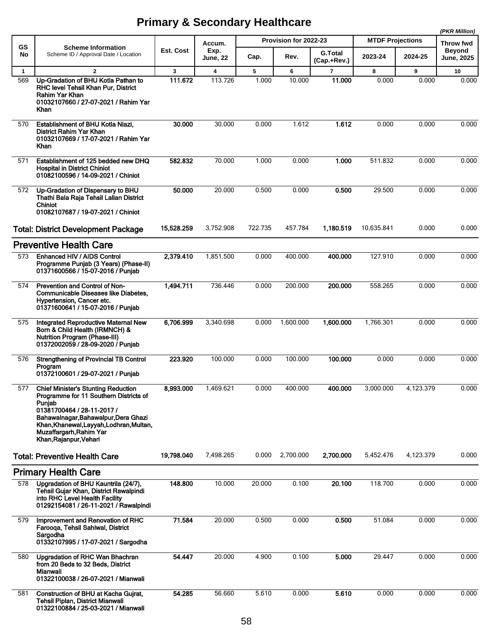|              |                                                                                                                                                                                                                                                                       |            |                         |         |                       |                               |                         |           | (PKR Million)               |
|--------------|-----------------------------------------------------------------------------------------------------------------------------------------------------------------------------------------------------------------------------------------------------------------------|------------|-------------------------|---------|-----------------------|-------------------------------|-------------------------|-----------|-----------------------------|
| GS           | <b>Scheme Information</b>                                                                                                                                                                                                                                             |            | Accum.                  |         | Provision for 2022-23 |                               | <b>MTDF Projections</b> |           | <b>Throw fwd</b>            |
| No           | Scheme ID / Approval Date / Location                                                                                                                                                                                                                                  | Est. Cost  | Exp.<br><b>June, 22</b> | Cap.    | Rev.                  | <b>G.Total</b><br>(Cap.+Rev.) | 2023-24                 | 2024-25   | <b>Beyond</b><br>June, 2025 |
| $\mathbf{1}$ | $\mathbf{2}$                                                                                                                                                                                                                                                          | 3          | $\overline{\mathbf{4}}$ | 5       | 6                     | 7                             | 8                       | 9         | 10                          |
| 569          | Up-Gradation of BHU Kotla Pathan to<br>RHC level Tehsil Khan Pur, District<br>Rahim Yar Khan<br>01032107660 / 27-07-2021 / Rahim Yar<br>Khan                                                                                                                          | 111.672    | 113.726                 | 1.000   | 10.000                | 11.000                        | 0.000                   | 0.000     | 0.000                       |
| 570          | Establishment of BHU Kotla Niazi,<br>District Rahim Yar Khan<br>01032107669 / 17-07-2021 / Rahim Yar<br>Khan                                                                                                                                                          | 30.000     | 30.000                  | 0.000   | 1.612                 | 1.612                         | 0.000                   | 0.000     | 0.000                       |
| 571          | Establishment of 125 bedded new DHQ<br><b>Hospital in District Chiniot</b><br>01082100596 / 14-09-2021 / Chiniot                                                                                                                                                      | 582.832    | 70.000                  | 1.000   | 0.000                 | 1.000                         | 511.832                 | 0.000     | 0.000                       |
| 572          | Up-Gradation of Dispensary to BHU<br>Thathi Bala Raja Tehsil Lalian District<br><b>Chiniot</b><br>01082107687 / 19-07-2021 / Chiniot                                                                                                                                  | 50.000     | 20.000                  | 0.500   | 0.000                 | 0.500                         | 29.500                  | 0.000     | 0.000                       |
|              | <b>Total: District Development Package</b>                                                                                                                                                                                                                            | 15,528.259 | 3,752.908               | 722.735 | 457.784               | 1,180.519                     | 10,635.841              | 0.000     | 0.000                       |
|              | <b>Preventive Health Care</b>                                                                                                                                                                                                                                         |            |                         |         |                       |                               |                         |           |                             |
| 573          | Enhanced HIV / AIDS Control<br>Programme Punjab (3 Years) (Phase-II)<br>01371600566 / 15-07-2016 / Punjab                                                                                                                                                             | 2,379.410  | 1.851.500               | 0.000   | 400.000               | 400.000                       | 127.910                 | 0.000     | 0.000                       |
| 574          | Prevention and Control of Non-<br><b>Communicable Diseases like Diabetes,</b><br>Hypertension, Cancer etc.<br>01371600641 / 15-07-2016 / Punjab                                                                                                                       | 1,494.711  | 736.446                 | 0.000   | 200.000               | 200.000                       | 558.265                 | 0.000     | 0.000                       |
| 575          | Integrated Reproductive Maternal New<br>Born & Child Health (IRMNCH) &<br><b>Nutrition Program (Phase-III)</b><br>01372002059 / 28-09-2020 / Punjab                                                                                                                   | 6,706.999  | 3,340.698               | 0.000   | 1,600.000             | 1,600.000                     | 1,766.301               | 0.000     | 0.000                       |
| 576          | <b>Strengthening of Provincial TB Control</b><br>Program<br>01372100601 / 29-07-2021 / Punjab                                                                                                                                                                         | 223.920    | 100.000                 | 0.000   | 100.000               | 100.000                       | 0.000                   | 0.000     | 0.000                       |
| 577          | <b>Chief Minister's Stunting Reduction</b><br>Programme for 11 Southern Districts of<br>Punjab<br>01381700464 / 28-11-2017 /<br>Bahawalnagar, Bahawalpur, Dera Ghazi<br>Khan, Khanewal, Layyah, Lodhran, Multan,<br>Muzaffargarh, Rahim Yar<br>Khan, Rajanpur, Vehari | 8,993.000  | 1.469.621               | 0.000   | 400.000               | 400.000                       | 3.000.000               | 4.123.379 | 0.000                       |
|              | <b>Total: Preventive Health Care</b>                                                                                                                                                                                                                                  | 19,798.040 | 7,498.265               | 0.000   | 2,700.000             | 2,700.000                     | 5,452.476               | 4,123.379 | 0.000                       |
|              | <b>Primary Health Care</b>                                                                                                                                                                                                                                            |            |                         |         |                       |                               |                         |           |                             |
| 578          | Upgradation of BHU Kauntrila (24/7),<br>Tehsil Gujar Khan, District Rawalpindi<br>into RHC Level Health Facility<br>01292154081 / 26-11-2021 / Rawalpindi                                                                                                             | 148.800    | 10.000                  | 20.000  | 0.100                 | 20.100                        | 118.700                 | 0.000     | 0.000                       |
| 579          | Improvement and Renovation of RHC<br>Farooga, Tehsil Sahiwal, District<br>Sargodha<br>01332107995 / 17-07-2021 / Sargodha                                                                                                                                             | 71.584     | 20.000                  | 0.500   | 0.000                 | 0.500                         | 51.084                  | 0.000     | 0.000                       |
| 580          | <b>Upgradation of RHC Wan Bhachran</b><br>from 20 Beds to 32 Beds, District<br>Mianwali<br>01322100038 / 26-07-2021 / Mianwali                                                                                                                                        | 54.447     | 20.000                  | 4.900   | 0.100                 | 5.000                         | 29.447                  | 0.000     | 0.000                       |
| 581          | Construction of BHU at Kacha Gujrat,<br>Tehsil Piplan, District Mianwali<br>01322100884 / 25-03-2021 / Mianwali                                                                                                                                                       | 54.285     | 56.660                  | 5.610   | 0.000                 | 5.610                         | 0.000                   | 0.000     | 0.000                       |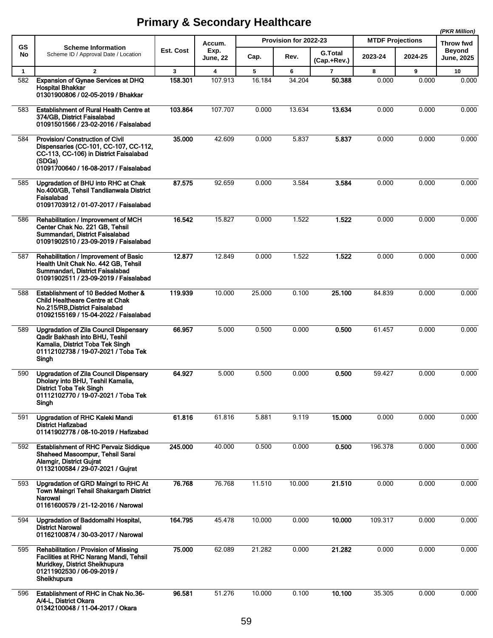|              |                                                                                                                                                                              |           |                         |        |                       |                               |                         |         | (PKR Million)               |
|--------------|------------------------------------------------------------------------------------------------------------------------------------------------------------------------------|-----------|-------------------------|--------|-----------------------|-------------------------------|-------------------------|---------|-----------------------------|
| <b>GS</b>    | <b>Scheme Information</b>                                                                                                                                                    |           | Accum.                  |        | Provision for 2022-23 |                               | <b>MTDF Projections</b> |         | Throw fwd                   |
| No           | Scheme ID / Approval Date / Location                                                                                                                                         | Est. Cost | Exp.<br><b>June, 22</b> | Cap.   | Rev.                  | <b>G.Total</b><br>(Cap.+Rev.) | 2023-24                 | 2024-25 | Beyond<br><b>June, 2025</b> |
| $\mathbf{1}$ | $\overline{2}$                                                                                                                                                               | 3         | 4                       | 5      | 6                     | 7                             | 8                       | 9       | 10                          |
| 582          | <b>Expansion of Gynae Services at DHQ</b><br>Hospital Bhakkar<br>01301900806 / 02-05-2019 / Bhakkar                                                                          | 158.301   | 107.913                 | 16.184 | 34.204                | 50.388                        | 0.000                   | 0.000   | 0.000                       |
| 583          | <b>Establishment of Rural Health Centre at</b><br>374/GB, District Faisalabad<br>01091501566 / 23-02-2016 / Faisalabad                                                       | 103.864   | 107.707                 | 0.000  | 13.634                | 13.634                        | 0.000                   | 0.000   | 0.000                       |
| 584          | Provision/ Construction of Civil<br>Dispensaries (CC-101, CC-107, CC-112,<br>CC-113, CC-106) in District Faisalabad<br>(SDGs)<br>01091700640 / 16-08-2017 / Faisalabad       | 35.000    | 42.609                  | 0.000  | 5.837                 | 5.837                         | 0.000                   | 0.000   | 0.000                       |
| 585          | Upgradation of BHU into RHC at Chak<br>No.400/GB, Tehsil Tandlianwala District<br>Faisalabad<br>01091703912 / 01-07-2017 / Faisalabad                                        | 87.575    | 92.659                  | 0.000  | 3.584                 | 3.584                         | 0.000                   | 0.000   | 0.000                       |
| 586          | Rehabilitation / Improvement of MCH<br>Center Chak No. 221 GB, Tehsil<br>Summandari, District Faisalabad<br>01091902510 / 23-09-2019 / Faisalabad                            | 16.542    | 15.827                  | 0.000  | 1.522                 | 1.522                         | 0.000                   | 0.000   | 0.000                       |
| 587          | <b>Rehabilitation / Improvement of Basic</b><br>Health Unit Chak No. 442 GB, Tehsil<br>Summandari, District Faisalabad<br>01091902511 / 23-09-2019 / Faisalabad              | 12.877    | 12.849                  | 0.000  | 1.522                 | 1.522                         | 0.000                   | 0.000   | 0.000                       |
| 588          | Establishment of 10 Bedded Mother &<br>Child Healtheare Centre at Chak<br>No.215/RB,District Faisalabad<br>01092155169 / 15-04-2022 / Faisalabad                             | 119.939   | 10.000                  | 25.000 | 0.100                 | 25.100                        | 84.839                  | 0.000   | 0.000                       |
| 589          | Upgradation of Zila Council Dispensary<br>Qadir Bakhash into BHU, Teshil<br>Kamalia, District Toba Tek Singh<br>01112102738 / 19-07-2021 / Toba Tek<br>Singh                 | 66.957    | 5.000                   | 0.500  | 0.000                 | 0.500                         | 61.457                  | 0.000   | 0.000                       |
| 590          | Upgradation of Zila Council Dispensary<br>Dholary into BHU, Teshil Kamalia,<br>District Toba Tek Singh<br>01112102770 / 19-07-2021 / Toba Tek<br>Singh                       | 64.927    | 5.000                   | 0.500  | 0.000                 | 0.500                         | 59.427                  | 0.000   | 0.000                       |
| 591          | Upgradation of RHC Kaleki Mandi<br><b>District Hafizabad</b><br>01141902778 / 08-10-2019 / Hafizabad                                                                         | 61.816    | 61.816                  | 5.881  | 9.119                 | 15.000                        | 0.000                   | 0.000   | 0.000                       |
| 592          | <b>Establishment of RHC Pervaiz Siddique</b><br>Shaheed Masoompur, Tehsil Sarai<br>Alamgir, District Guirat<br>01132100584 / 29-07-2021 / Gujrat                             | 245,000   | 40.000                  | 0.500  | 0.000                 | 0.500                         | 196.378                 | 0.000   | 0.000                       |
| 593          | Upgradation of GRD Maingri to RHC At<br>Town Maingri Tehsil Shakargarh District<br>Narowal<br>01161600579 / 21-12-2016 / Narowal                                             | 76.768    | 76.768                  | 11.510 | 10.000                | 21.510                        | 0.000                   | 0.000   | 0.000                       |
| 594          | Upgradation of Baddomalhi Hospital,<br><b>District Narowal</b><br>01162100874 / 30-03-2017 / Narowal                                                                         | 164.795   | 45.478                  | 10.000 | 0.000                 | 10.000                        | 109.317                 | 0.000   | 0.000                       |
| 595          | <b>Rehabilitation / Provision of Missing</b><br><b>Facilities at RHC Narang Mandi, Tehsil</b><br>Muridkey, District Sheikhupura<br>01211902530 / 06-09-2019 /<br>Sheikhupura | 75.000    | 62.089                  | 21.282 | 0.000                 | 21.282                        | 0.000                   | 0.000   | 0.000                       |
| 596          | Establishment of RHC in Chak No.36-<br>A/4-L, District Okara<br>01342100048 / 11-04-2017 / Okara                                                                             | 96.581    | 51.276                  | 10.000 | 0.100                 | 10.100                        | 35.305                  | 0.000   | 0.000                       |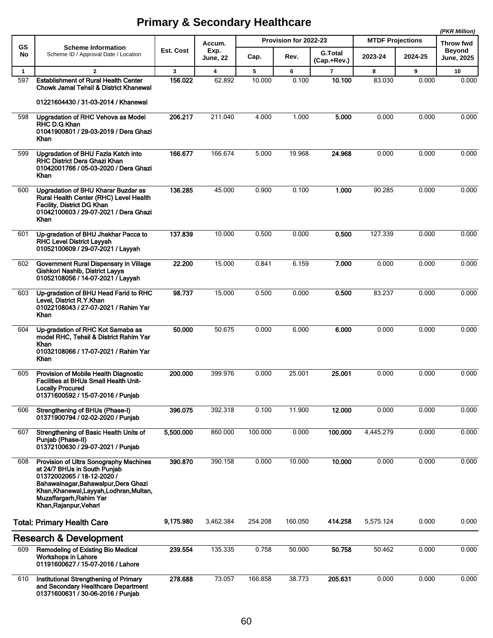|              |                                                                                                                                                                                                                                                      |           |                         |         |                       |                               |                         |         | (PKR Million)                      |
|--------------|------------------------------------------------------------------------------------------------------------------------------------------------------------------------------------------------------------------------------------------------------|-----------|-------------------------|---------|-----------------------|-------------------------------|-------------------------|---------|------------------------------------|
| <b>GS</b>    | <b>Scheme Information</b>                                                                                                                                                                                                                            |           | Accum.                  |         | Provision for 2022-23 |                               | <b>MTDF Projections</b> |         | Throw fwd                          |
| No           | Scheme ID / Approval Date / Location                                                                                                                                                                                                                 | Est. Cost | Exp.<br><b>June, 22</b> | Cap.    | Rev.                  | <b>G.Total</b><br>(Cap.+Rev.) | 2023-24                 | 2024-25 | <b>Beyond</b><br><b>June, 2025</b> |
| $\mathbf{1}$ | $\mathbf{2}$                                                                                                                                                                                                                                         | 3         | 4                       | 5       | 6                     | $\overline{7}$                | 8                       | 9       | 10                                 |
| 597          | <b>Establishment of Rural Health Center</b><br>Chowk Jamal Tehsil & District Khanewal<br>01221604430 / 31-03-2014 / Khanewal                                                                                                                         | 156.022   | 62.892                  | 10.000  | 0.100                 | 10.100                        | 83.030                  | 0.000   | 0.000                              |
| 598          | Upgradation of RHC Vehova as Model<br><b>RHC D.G Khan</b><br>01041900801 / 29-03-2019 / Dera Ghazi<br>Khan                                                                                                                                           | 206.217   | 211.040                 | 4.000   | 1.000                 | 5.000                         | 0.000                   | 0.000   | 0.000                              |
| 599          | Upgradation of BHU Fazla Katch into<br>RHC District Dera Ghazi Khan<br>01042001766 / 05-03-2020 / Dera Ghazi<br>Khan                                                                                                                                 | 166.677   | 166.674                 | 5.000   | 19.968                | 24.968                        | 0.000                   | 0.000   | 0.000                              |
| 600          | Upgradation of BHU Kharar Buzdar as<br>Rural Health Center (RHC) Level Health<br>Facility, District DG Khan<br>01042100603 / 29-07-2021 / Dera Ghazi<br>Khan                                                                                         | 136.285   | 45.000                  | 0.900   | 0.100                 | 1.000                         | 90.285                  | 0.000   | 0.000                              |
| 601          | Up-gradation of BHU Jhakhar Pacca to<br><b>RHC Level District Layyah</b><br>01052100609 / 29-07-2021 / Layyah                                                                                                                                        | 137.839   | 10.000                  | 0.500   | 0.000                 | 0.500                         | 127.339                 | 0.000   | 0.000                              |
| 602          | Government Rural Dispensary in Village<br>Gishkori Nashib, District Layya<br>01052108056 / 14-07-2021 / Layyah                                                                                                                                       | 22.200    | 15.000                  | 0.841   | 6.159                 | 7.000                         | 0.000                   | 0.000   | 0.000                              |
| 603          | Up-gradation of BHU Head Farid to RHC<br>Level, District R.Y.Khan<br>01022108043 / 27-07-2021 / Rahim Yar<br>Khan                                                                                                                                    | 98.737    | 15.000                  | 0.500   | 0.000                 | 0.500                         | 83.237                  | 0.000   | 0.000                              |
| 604          | Up-gradation of RHC Kot Samaba as<br>model RHC, Tehsil & District Rahim Yar<br>Khan<br>01032108066 / 17-07-2021 / Rahim Yar<br>Khan                                                                                                                  | 50.000    | 50.675                  | 0.000   | 6.000                 | 6.000                         | 0.000                   | 0.000   | 0.000                              |
| 605          | Provision of Mobile Health Diagnostic<br><b>Facilities at BHUs Small Health Unit-</b><br><b>Locally Procured</b><br>01371600592 / 15-07-2016 / Punjab                                                                                                | 200.000   | 399.976                 | 0.000   | 25.001                | 25.001                        | 0.000                   | 0.000   | 0.000                              |
| 606          | Strengthening of BHUs (Phase-I)<br>01371900794 / 02-02-2020 / Punjab                                                                                                                                                                                 | 396.075   | 392.318                 | 0.100   | 11.900                | 12.000                        | 0.000                   | 0.000   | 0.000                              |
| 607          | Strengthening of Basic Health Units of<br>Punjab (Phase-II)<br>01372100630 / 29-07-2021 / Punjab                                                                                                                                                     | 5,500.000 | 860.000                 | 100.000 | 0.000                 | 100.000                       | 4,445.279               | 0.000   | 0.000                              |
| 608          | <b>Provision of Ultra Sonography Machines</b><br>at 24/7 BHUs in South Punjab<br>01372002065 / 18-12-2020 /<br>Bahawalnagar, Bahawalpur, Dera Ghazi<br>Khan, Khanewal, Layyah, Lodhran, Multan,<br>Muzaffargarh, Rahim Yar<br>Khan, Rajanpur, Vehari | 390.870   | 390.158                 | 0.000   | 10.000                | 10.000                        | 0.000                   | 0.000   | 0.000                              |
|              | <b>Total: Primary Health Care</b>                                                                                                                                                                                                                    | 9,175.980 | 3,462.384               | 254.208 | 160.050               | 414.258                       | 5,575.124               | 0.000   | 0.000                              |
|              | <b>Research &amp; Development</b>                                                                                                                                                                                                                    |           |                         |         |                       |                               |                         |         |                                    |
| 609          | <b>Remodeling of Existing Bio Medical</b><br><b>Workshops in Lahore</b><br>01191600627 / 15-07-2016 / Lahore                                                                                                                                         | 239.554   | 135.335                 | 0.758   | 50.000                | 50.758                        | 50.462                  | 0.000   | 0.000                              |
| 610          | Institutional Strengthening of Primary<br>and Secondary Healthcare Department<br>01371600631 / 30-06-2016 / Punjab                                                                                                                                   | 278.688   | 73.057                  | 166.858 | 38.773                | 205.631                       | 0.000                   | 0.000   | 0.000                              |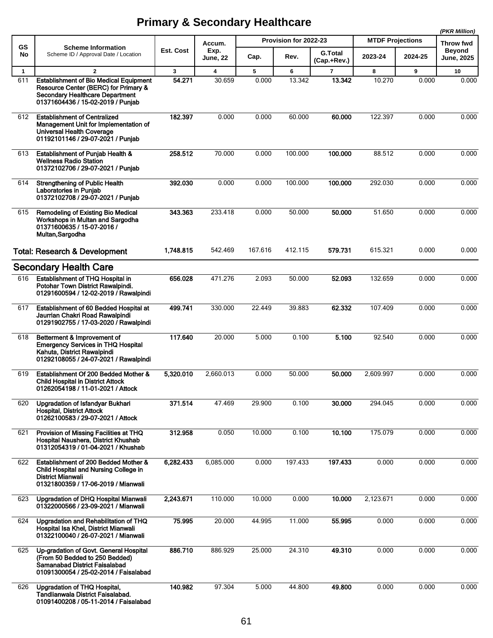|              |                                                                                                                                                               |              |                         |         |                       |                               |                         |         | (PKR Million)               |
|--------------|---------------------------------------------------------------------------------------------------------------------------------------------------------------|--------------|-------------------------|---------|-----------------------|-------------------------------|-------------------------|---------|-----------------------------|
| <b>GS</b>    | <b>Scheme Information</b>                                                                                                                                     |              | Accum.                  |         | Provision for 2022-23 |                               | <b>MTDF Projections</b> |         | Throw fwd                   |
| No           | Scheme ID / Approval Date / Location                                                                                                                          | Est. Cost    | Exp.<br><b>June, 22</b> | Cap.    | Rev.                  | <b>G.Total</b><br>(Cap.+Rev.) | 2023-24                 | 2024-25 | Beyond<br><b>June, 2025</b> |
| $\mathbf{1}$ | $\mathbf{2}$                                                                                                                                                  | $\mathbf{3}$ | 4                       | 5       | 6                     | 7                             | 8                       | 9       | 10                          |
| 611          | <b>Establishment of Bio Medical Equipment</b><br>Resource Center (BERC) for Primary &<br>Secondary Healthcare Department<br>01371604436 / 15-02-2019 / Punjab | 54.271       | 30.659                  | 0.000   | 13.342                | 13.342                        | 10.270                  | 0.000   | 0.000                       |
| 612          | <b>Establishment of Centralized</b><br>Management Unit for Implementation of<br><b>Universal Health Coverage</b><br>01192101146 / 29-07-2021 / Punjab         | 182.397      | 0.000                   | 0.000   | 60.000                | 60.000                        | 122.397                 | 0.000   | 0.000                       |
| 613          | <b>Establishment of Punjab Health &amp;</b><br><b>Wellness Radio Station</b><br>01372102706 / 29-07-2021 / Punjab                                             | 258.512      | 70.000                  | 0.000   | 100.000               | 100.000                       | 88.512                  | 0.000   | 0.000                       |
| 614          | <b>Strengthening of Public Health</b><br>Laboratories in Punjab<br>01372102708 / 29-07-2021 / Punjab                                                          | 392.030      | 0.000                   | 0.000   | 100.000               | 100.000                       | 292.030                 | 0.000   | 0.000                       |
| 615          | Remodeling of Existing Bio Medical<br>Workshops in Multan and Sargodha<br>01371600635 / 15-07-2016 /<br>Multan, Sargodha                                      | 343.363      | 233.418                 | 0.000   | 50.000                | 50.000                        | 51.650                  | 0.000   | 0.000                       |
|              | <b>Total: Research &amp; Development</b>                                                                                                                      | 1,748.815    | 542.469                 | 167.616 | 412.115               | 579.731                       | 615.321                 | 0.000   | 0.000                       |
|              | <b>Secondary Health Care</b>                                                                                                                                  |              |                         |         |                       |                               |                         |         |                             |
| 616          | Establishment of THQ Hospital in<br>Potohar Town District Rawalpindi.<br>01291600594 / 12-02-2019 / Rawalpindi                                                | 656.028      | 471.276                 | 2.093   | 50.000                | 52.093                        | 132.659                 | 0.000   | 0.000                       |
| 617          | Establishment of 60 Bedded Hospital at<br>Jaurrian Chakri Road Rawalpindi<br>01291902755 / 17-03-2020 / Rawalpindi                                            | 499.741      | 330.000                 | 22.449  | 39.883                | 62.332                        | 107.409                 | 0.000   | 0.000                       |
| 618          | Betterment & Improvement of<br><b>Emergency Services in THQ Hospital</b><br>Kahuta, District Rawalpindi<br>01292108055 / 24-07-2021 / Rawalpindi              | 117.640      | 20.000                  | 5.000   | 0.100                 | 5.100                         | 92.540                  | 0.000   | 0.000                       |
| 619          | Establishment Of 200 Bedded Mother &<br><b>Child Hospital in District Attock</b><br>01262054198 / 11-01-2021 / Attock                                         | 5,320.010    | 2,660.013               | 0.000   | 50.000                | 50.000                        | 2,609.997               | 0.000   | 0.000                       |
| 620          | Upgradation of Isfandyar Bukhari<br><b>Hospital, District Attock</b><br>01262100583 / 29-07-2021 / Attock                                                     | 371.514      | 47.469                  | 29.900  | 0.100                 | 30.000                        | 294.045                 | 0.000   | 0.000                       |
| 621          | Provision of Missing Facilities at THQ<br>Hospital Naushera, District Khushab<br>01312054319 / 01-04-2021 / Khushab                                           | 312.958      | 0.050                   | 10.000  | 0.100                 | 10.100                        | 175.079                 | 0.000   | 0.000                       |
| 622          | Establishment of 200 Bedded Mother &<br>Child Hospital and Nursing College in<br>District Mianwali<br>01321800359 / 17-06-2019 / Mianwali                     | 6,282.433    | 6,085.000               | 0.000   | 197.433               | 197.433                       | 0.000                   | 0.000   | 0.000                       |
| 623          | Upgradation of DHQ Hospital Mianwali<br>01322000566 / 23-09-2021 / Mianwali                                                                                   | 2,243.671    | 110.000                 | 10.000  | 0.000                 | 10.000                        | 2,123.671               | 0.000   | 0.000                       |
| 624          | Upgradation and Rehabilitation of THQ<br>Hospital Isa Khel, District Mianwali<br>01322100040 / 26-07-2021 / Mianwali                                          | 75.995       | 20.000                  | 44.995  | 11.000                | 55.995                        | 0.000                   | 0.000   | 0.000                       |
| 625          | Up-gradation of Govt. General Hospital<br>(From 50 Bedded to 250 Bedded)<br>Samanabad District Faisalabad<br>01091300054 / 25-02-2014 / Faisalabad            | 886.710      | 886.929                 | 25.000  | 24.310                | 49.310                        | 0.000                   | 0.000   | 0.000                       |
| 626          | Upgradation of THQ Hospital,<br>Tandlianwala District Faisalabad.<br>01091400208 / 05-11-2014 / Faisalabad                                                    | 140.982      | 97.304                  | 5.000   | 44.800                | 49.800                        | 0.000                   | 0.000   | 0.000                       |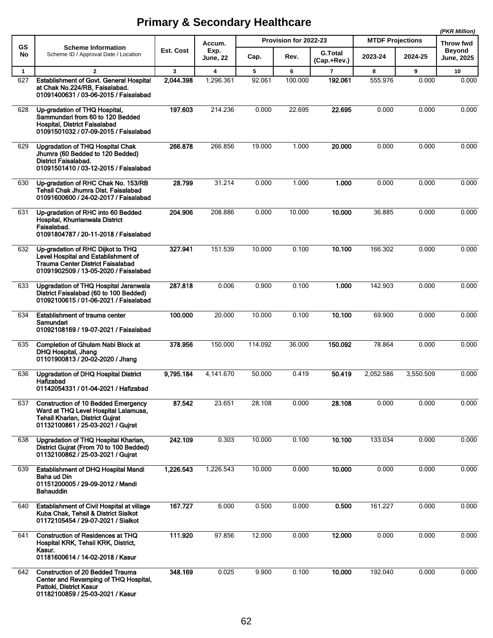|              |                                                                                                                                                                   |                  |                         |         |                       |                               |                         |           | (PKR Million)                      |
|--------------|-------------------------------------------------------------------------------------------------------------------------------------------------------------------|------------------|-------------------------|---------|-----------------------|-------------------------------|-------------------------|-----------|------------------------------------|
| GS           | <b>Scheme Information</b>                                                                                                                                         |                  | Accum.                  |         | Provision for 2022-23 |                               | <b>MTDF Projections</b> |           | Throw fwd                          |
| No           | Scheme ID / Approval Date / Location                                                                                                                              | <b>Est. Cost</b> | Exp.<br><b>June, 22</b> | Cap.    | Rev.                  | <b>G.Total</b><br>(Cap.+Rev.) | 2023-24                 | 2024-25   | <b>Beyond</b><br><b>June, 2025</b> |
| $\mathbf{1}$ | $\overline{2}$                                                                                                                                                    | 3                | $\overline{\mathbf{4}}$ | 5       | 6                     | $\overline{7}$                | 8                       | 9         | 10                                 |
| 627          | <b>Establishment of Govt. General Hospital</b><br>at Chak No.224/RB, Faisalabad.<br>01091400631 / 03-06-2015 / Faisalabad                                         | 2,044.398        | 1,296.361               | 92.061  | 100.000               | 192.061                       | 555.976                 | 0.000     | 0.000                              |
| 628          | Up-gradation of THQ Hospital,<br>Sammundari from 60 to 120 Bedded<br><b>Hospital, District Faisalabad</b><br>01091501032 / 07-09-2015 / Faisalabad                | 197.603          | 214.236                 | 0.000   | 22.695                | 22.695                        | 0.000                   | 0.000     | 0.000                              |
| 629          | <b>Upgradation of THQ Hospital Chak</b><br>Jhumra (60 Bedded to 120 Bedded)<br><b>District Faisalabad.</b><br>01091501410 / 03-12-2015 / Faisalabad               | 266.878          | 266.856                 | 19.000  | 1.000                 | 20.000                        | 0.000                   | 0.000     | 0.000                              |
| 630          | Up-gradation of RHC Chak No. 153/RB<br>Tehsil Chak Jhumra Dist, Faisalabad<br>01091600600 / 24-02-2017 / Faisalabad                                               | 28.799           | 31.214                  | 0.000   | 1.000                 | 1.000                         | 0.000                   | 0.000     | 0.000                              |
| 631          | Up-gradation of RHC into 60 Bedded<br>Hospital, Khurrianwala District<br>Faisalabad.<br>01091804787 / 20-11-2018 / Faisalabad                                     | 204.906          | 208.886                 | 0.000   | 10.000                | 10.000                        | 36.885                  | 0.000     | 0.000                              |
| 632          | Up-gradation of RHC Dijkot to THQ<br>Level Hospital and Establishment of<br>Trauma Center District Faisalabad<br>01091902509 / 13-05-2020 / Faisalabad            | 327.941          | 151.539                 | 10.000  | 0.100                 | 10.100                        | 166.302                 | 0.000     | 0.000                              |
| 633          | Upgradation of THQ Hospital Jaranwala<br>District Faisalabad (60 to 100 Bedded)<br>01092100615 / 01-06-2021 / Faisalabad                                          | 287.818          | 0.006                   | 0.900   | 0.100                 | 1.000                         | 142.903                 | 0.000     | 0.000                              |
| 634          | Establishment of trauma center<br>Samundari<br>01092108169 / 19-07-2021 / Faisalabad                                                                              | 100.000          | 20.000                  | 10.000  | 0.100                 | 10.100                        | 69.900                  | 0.000     | 0.000                              |
| 635          | <b>Completion of Ghulam Nabi Block at</b><br>DHQ Hospital, Jhang<br>01101900813 / 20-02-2020 / Jhang                                                              | 378.956          | 150.000                 | 114.092 | 36.000                | 150.092                       | 78.864                  | 0.000     | 0.000                              |
| 636          | Upgradation of DHQ Hospital District<br>Hafizabad<br>01142054331 / 01-04-2021 / Hafizabad                                                                         | 9,795.184        | 4,141.670               | 50.000  | 0.419                 | 50.419                        | 2,052.586               | 3,550.509 | 0.000                              |
| 637          | <b>Construction of 10 Bedded Emergency</b><br>Ward at THQ Level Hospital Lalamusa,<br><b>Tehsil Kharian, District Guirat</b><br>01132100861 / 25-03-2021 / Gujrat | 87.542           | 23.651                  | 28.108  | 0.000                 | 28.108                        | 0.000                   | 0.000     | 0.000                              |
| 638          | Upgradation of THQ Hospital Kharian,<br>District Gujrat (From 70 to 100 Bedded)<br>01132100862 / 25-03-2021 / Gujrat                                              | 242.109          | 0.303                   | 10.000  | 0.100                 | 10.100                        | 133.034                 | 0.000     | 0.000                              |
| 639          | <b>Establishment of DHQ Hospital Mandi</b><br>Baha ud Din<br>01151200005 / 29-09-2012 / Mandi<br>Bahauddin                                                        | 1,226.543        | 1,226.543               | 10.000  | 0.000                 | 10.000                        | 0.000                   | 0.000     | 0.000                              |
| 640          | <b>Establishment of Civil Hospital at village</b><br>Kuba Chak, Tehsil & District Sialkot<br>01172105454 / 29-07-2021 / Sialkot                                   | 167.727          | 6.000                   | 0.500   | 0.000                 | 0.500                         | 161.227                 | 0.000     | 0.000                              |
| 641          | Construction of Residences at THQ<br>Hospital KRK, Tehsil KRK, District,<br>Kasur.<br>01181600614 / 14-02-2018 / Kasur                                            | 111.920          | 97.856                  | 12.000  | 0.000                 | 12.000                        | 0.000                   | 0.000     | 0.000                              |
| 642          | <b>Construction of 20 Bedded Trauma</b><br>Center and Revamping of THQ Hospital,<br>Pattoki, District Kasur<br>01182100859 / 25-03-2021 / Kasur                   | 348.169          | 0.025                   | 9.900   | 0.100                 | 10.000                        | 192.040                 | 0.000     | 0.000                              |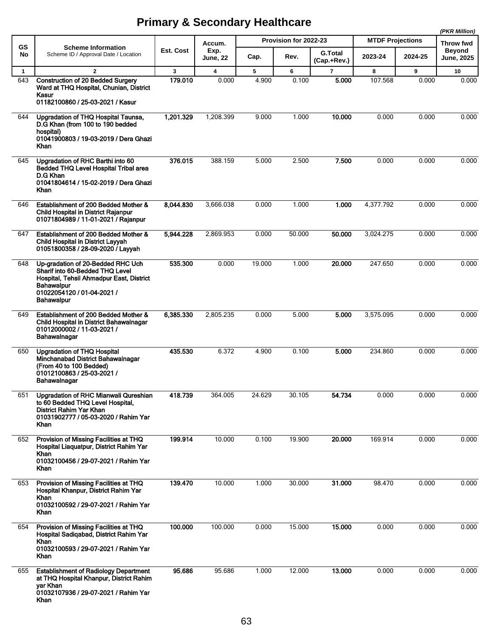|              |                                                                                                                                                                                   |                  |                            |                       |        |                               |                         |         | (PKR Million)               |
|--------------|-----------------------------------------------------------------------------------------------------------------------------------------------------------------------------------|------------------|----------------------------|-----------------------|--------|-------------------------------|-------------------------|---------|-----------------------------|
| <b>GS</b>    | <b>Scheme Information</b><br>Scheme ID / Approval Date / Location                                                                                                                 | <b>Est. Cost</b> | Accum.<br>Exp.<br>June, 22 | Provision for 2022-23 |        |                               | <b>MTDF Projections</b> |         | Throw fwd                   |
| No           |                                                                                                                                                                                   |                  |                            | Cap.                  | Rev.   | <b>G.Total</b><br>(Cap.+Rev.) | 2023-24                 | 2024-25 | Beyond<br><b>June, 2025</b> |
| $\mathbf{1}$ | $\overline{2}$                                                                                                                                                                    | 3                | 4                          | 5                     | 6      | $\overline{7}$                | 8                       | 9       | 10                          |
| 643          | <b>Construction of 20 Bedded Surgery</b><br>Ward at THQ Hospital, Chunian, District<br>Kasur<br>01182100860 / 25-03-2021 / Kasur                                                  | 179.010          | 0.000                      | 4.900                 | 0.100  | 5.000                         | 107.568                 | 0.000   | 0.000                       |
| 644          | Upgradation of THQ Hospital Taunsa,<br>D.G Khan (from 100 to 190 bedded<br>hospital)<br>01041900803 / 19-03-2019 / Dera Ghazi<br>Khan                                             | 1,201.329        | 1.208.399                  | 9.000                 | 1.000  | 10.000                        | 0.000                   | 0.000   | 0.000                       |
| 645          | Upgradation of RHC Barthi into 60<br>Bedded THQ Level Hospital Tribal area<br>D.G Khan<br>01041804614 / 15-02-2019 / Dera Ghazi<br>Khan                                           | 376.015          | 388.159                    | 5.000                 | 2.500  | 7.500                         | 0.000                   | 0.000   | 0.000                       |
| 646          | Establishment of 200 Bedded Mother &<br>Child Hospital in District Rajanpur<br>01071804989 / 11-01-2021 / Rajanpur                                                                | 8.044.830        | 3,666.038                  | 0.000                 | 1.000  | 1.000                         | 4,377.792               | 0.000   | 0.000                       |
| 647          | Establishment of 200 Bedded Mother &<br>Child Hospital in District Layyah<br>01051800358 / 28-09-2020 / Layyah                                                                    | 5,944 228        | 2,869.953                  | 0.000                 | 50.000 | 50.000                        | 3,024.275               | 0.000   | 0.000                       |
| 648          | Up-gradation of 20-Bedded RHC Uch<br>Sharif into 60-Bedded THQ Level<br>Hospital, Tehsil Ahmadpur East, District<br>Bahawalpur<br>01022054120 / 01-04-2021 /<br><b>Bahawalpur</b> | 535.300          | 0.000                      | 19.000                | 1.000  | 20.000                        | 247.650                 | 0.000   | 0.000                       |
| 649          | Establishment of 200 Bedded Mother &<br>Child Hospital in District Bahawalnagar<br>01012000002 / 11-03-2021 /<br>Bahawalnagar                                                     | 6,385.330        | 2,805.235                  | 0.000                 | 5.000  | 5.000                         | 3,575.095               | 0.000   | 0.000                       |
| 650          | <b>Upgradation of THQ Hospital</b><br>Minchanabad District Bahawalnagar<br>(From 40 to 100 Bedded)<br>01012100863 / 25-03-2021 /<br>Bahawalnagar                                  | 435.530          | 6.372                      | 4.900                 | 0.100  | 5.000                         | 234.860                 | 0.000   | 0.000                       |
| 651          | Upgradation of RHC Mianwali Qureshian<br>to 60 Bedded THQ Level Hospital,<br><b>District Rahim Yar Khan</b><br>01031902777 / 05-03-2020 / Rahim Yar<br>Khan                       | 418.739          | 364.005                    | 24.629                | 30.105 | 54.734                        | 0.000                   | 0.000   | 0.000                       |
| 652          | Provision of Missing Facilities at THQ<br>Hospital Liaquatpur, District Rahim Yar<br>Khan<br>01032100456 / 29-07-2021 / Rahim Yar<br>Khan                                         | 199.914          | 10.000                     | 0.100                 | 19.900 | 20.000                        | 169.914                 | 0.000   | 0.000                       |
| 653          | Provision of Missing Facilities at THQ<br>Hospital Khanpur, District Rahim Yar<br>Khan<br>01032100592 / 29-07-2021 / Rahim Yar<br>Khan                                            | 139.470          | 10.000                     | 1.000                 | 30.000 | 31.000                        | 98.470                  | 0.000   | 0.000                       |
| 654          | Provision of Missing Facilities at THQ<br>Hospital Sadiqabad, District Rahim Yar<br>Khan<br>01032100593 / 29-07-2021 / Rahim Yar<br>Khan                                          | 100.000          | 100.000                    | 0.000                 | 15.000 | 15.000                        | 0.000                   | 0.000   | 0.000                       |
| 655          | <b>Establishment of Radiology Department</b><br>at THQ Hospital Khanpur, District Rahim<br>yar Khan<br>01032107936 / 29-07-2021 / Rahim Yar<br>Khan                               | 95.686           | 95.686                     | 1.000                 | 12.000 | 13.000                        | 0.000                   | 0.000   | 0.000                       |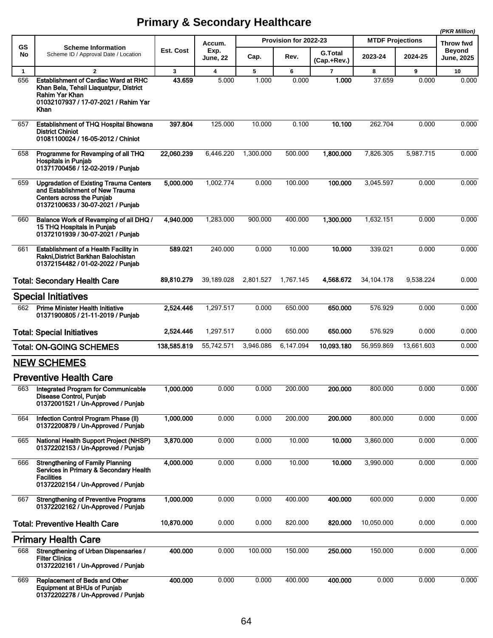|              |                                                                                                                                                           |              |                                   |           |                       |                               |                         |            | (PKR Million)                      |
|--------------|-----------------------------------------------------------------------------------------------------------------------------------------------------------|--------------|-----------------------------------|-----------|-----------------------|-------------------------------|-------------------------|------------|------------------------------------|
| GS           | <b>Scheme Information</b><br>Scheme ID / Approval Date / Location                                                                                         | Est. Cost    | Accum.<br>Exp.<br><b>June, 22</b> |           | Provision for 2022-23 |                               | <b>MTDF Projections</b> |            | Throw fwd                          |
| No           |                                                                                                                                                           |              |                                   | Cap.      | Rev.                  | <b>G.Total</b><br>(Cap.+Rev.) | 2023-24                 | 2024-25    | <b>Beyond</b><br><b>June, 2025</b> |
| $\mathbf{1}$ | $\overline{2}$                                                                                                                                            | $\mathbf{3}$ | 4                                 | 5         | 6                     | $\overline{7}$                | 8                       | 9          | 10                                 |
| 656          | <b>Establishment of Cardiac Ward at RHC</b><br>Khan Bela, Tehsil Liaquatpur, District<br>Rahim Yar Khan<br>01032107937 / 17-07-2021 / Rahim Yar<br>Khan   | 43.659       | 5.000                             | 1.000     | 0.000                 | 1.000                         | 37.659                  | 0.000      | 0.000                              |
| 657          | <b>Establishment of THQ Hospital Bhowana</b><br><b>District Chiniot</b><br>01081100024 / 16-05-2012 / Chiniot                                             | 397.804      | 125.000                           | 10.000    | 0.100                 | 10.100                        | 262.704                 | 0.000      | 0.000                              |
| 658          | Programme for Revamping of all THQ<br><b>Hospitals in Punjab</b><br>01371700456 / 12-02-2019 / Punjab                                                     | 22,060.239   | 6,446.220                         | 1,300.000 | 500.000               | 1,800.000                     | 7,826.305               | 5,987.715  | 0.000                              |
| 659          | <b>Upgradation of Existing Trauma Centers</b><br>and Establishment of New Trauma<br><b>Centers across the Punjab</b><br>01372100633 / 30-07-2021 / Punjab | 5,000.000    | 1,002.774                         | 0.000     | 100.000               | 100.000                       | 3,045.597               | 0.000      | 0.000                              |
| 660          | Balance Work of Revamping of all DHQ /<br>15 THQ Hospitals in Punjab<br>01372101939 / 30-07-2021 / Punjab                                                 | 4,940.000    | 1,283.000                         | 900.000   | 400.000               | 1,300.000                     | 1,632.151               | 0.000      | 0.000                              |
| 661          | <b>Establishment of a Health Facility in</b><br>Rakni District Barkhan Balochistan<br>01372154482 / 01-02-2022 / Punjab                                   | 589.021      | 240.000                           | 0.000     | 10.000                | 10.000                        | 339.021                 | 0.000      | 0.000                              |
|              | <b>Total: Secondary Health Care</b>                                                                                                                       | 89,810.279   | 39,189.028                        | 2,801.527 | 1,767.145             | 4,568.672                     | 34, 104. 178            | 9,538.224  | 0.000                              |
|              | <b>Special Initiatives</b>                                                                                                                                |              |                                   |           |                       |                               |                         |            |                                    |
| 662          | <b>Prime Minister Health Initiative</b><br>01371900805 / 21-11-2019 / Punjab                                                                              | 2,524.446    | 1,297.517                         | 0.000     | 650.000               | 650.000                       | 576.929                 | 0.000      | 0.000                              |
|              | <b>Total: Special Initiatives</b>                                                                                                                         | 2,524.446    | 1,297.517                         | 0.000     | 650.000               | 650.000                       | 576.929                 | 0.000      | 0.000                              |
|              | <b>Total: ON-GOING SCHEMES</b>                                                                                                                            | 138,585.819  | 55,742.571                        | 3,946.086 | 6,147.094             | 10,093.180                    | 56.959.869              | 13,661.603 | 0.000                              |
|              | <b>NEW SCHEMES</b>                                                                                                                                        |              |                                   |           |                       |                               |                         |            |                                    |
|              | <b>Preventive Health Care</b>                                                                                                                             |              |                                   |           |                       |                               |                         |            |                                    |
|              | 663 Integrated Program for Communicable<br>Disease Control, Punjab<br>01372001521 / Un-Approved / Punjab                                                  | 1,000.000    | 0.000                             | 0.000     | 200.000               | 200.000                       | 800.000                 | 0.000      | 0.000                              |
| 664          | Infection Control Program Phase (II)<br>01372200879 / Un-Approved / Punjab                                                                                | 1,000.000    | 0.000                             | 0.000     | 200.000               | 200.000                       | 800.000                 | 0.000      | 0.000                              |
| 665          | National Health Support Project (NHSP)<br>01372202153 / Un-Approved / Punjab                                                                              | 3,870.000    | 0.000                             | 0.000     | 10.000                | 10.000                        | 3,860.000               | 0.000      | 0.000                              |
| 666          | <b>Strengthening of Family Planning</b><br>Services in Primary & Secondary Health<br><b>Facilities</b><br>01372202154 / Un-Approved / Punjab              | 4,000.000    | 0.000                             | 0.000     | 10.000                | 10.000                        | 3,990.000               | 0.000      | 0.000                              |
| 667          | <b>Strengthening of Preventive Programs</b><br>01372202162 / Un-Approved / Punjab                                                                         | 1,000.000    | 0.000                             | 0.000     | 400.000               | 400.000                       | 600.000                 | 0.000      | 0.000                              |
|              | <b>Total: Preventive Health Care</b>                                                                                                                      | 10,870.000   | 0.000                             | 0.000     | 820.000               | 820.000                       | 10,050.000              | 0.000      | 0.000                              |
|              | <b>Primary Health Care</b>                                                                                                                                |              |                                   |           |                       |                               |                         |            |                                    |
| 668          | Strengthening of Urban Dispensaries /<br><b>Filter Clinics</b><br>01372202161 / Un-Approved / Punjab                                                      | 400.000      | 0.000                             | 100.000   | 150.000               | 250.000                       | 150.000                 | 0.000      | 0.000                              |
| 669          | Replacement of Beds and Other<br><b>Equipment at BHUs of Punjab</b><br>01372202278 / Un-Approved / Punjab                                                 | 400.000      | 0.000                             | 0.000     | 400.000               | 400.000                       | 0.000                   | 0.000      | 0.000                              |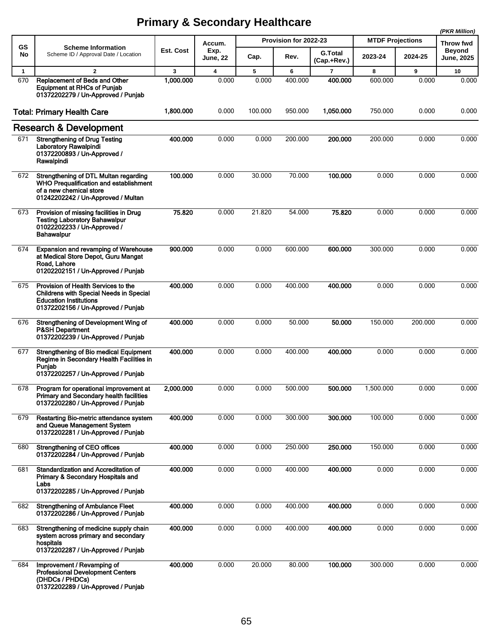|              |                                                                                                                                                              |           |                                   |         |                       |                               |                         |         | (PKR Million)               |
|--------------|--------------------------------------------------------------------------------------------------------------------------------------------------------------|-----------|-----------------------------------|---------|-----------------------|-------------------------------|-------------------------|---------|-----------------------------|
| <b>GS</b>    | <b>Scheme Information</b><br>Scheme ID / Approval Date / Location                                                                                            | Est. Cost | Accum.<br>Exp.<br><b>June, 22</b> |         | Provision for 2022-23 |                               | <b>MTDF Projections</b> |         | <b>Throw fwd</b>            |
| No           |                                                                                                                                                              |           |                                   | Cap.    | Rev.                  | <b>G.Total</b><br>(Cap.+Rev.) | 2023-24                 | 2024-25 | Beyond<br><b>June, 2025</b> |
| $\mathbf{1}$ | $\mathbf{2}$                                                                                                                                                 | 3         | 4                                 | 5       | 6                     | $\overline{7}$                | 8                       | 9       | 10                          |
| 670          | Replacement of Beds and Other<br><b>Equipment at RHCs of Punjab</b><br>01372202279 / Un-Approved / Punjab                                                    | 1,000.000 | 0.000                             | 0.000   | 400.000               | 400.000                       | 600.000                 | 0.000   | 0.000                       |
|              | <b>Total: Primary Health Care</b>                                                                                                                            | 1,800.000 | 0.000                             | 100.000 | 950.000               | 1,050.000                     | 750.000                 | 0.000   | 0.000                       |
|              | <b>Research &amp; Development</b>                                                                                                                            |           |                                   |         |                       |                               |                         |         |                             |
| 671          | <b>Strengthening of Drug Testing</b><br>Laboratory Rawalpindi<br>01372200893 / Un-Approved /<br>Rawalpindi                                                   | 400.000   | 0.000                             | 0.000   | 200.000               | 200.000                       | 200.000                 | 0.000   | 0.000                       |
| 672          | Strengthening of DTL Multan regarding<br>WHO Prequalification and establishment<br>of a new chemical store<br>01242202242 / Un-Approved / Multan             | 100.000   | 0.000                             | 30.000  | 70.000                | 100.000                       | 0.000                   | 0.000   | 0.000                       |
| 673          | Provision of missing facilities in Drug<br><b>Testing Laboratory Bahawalpur</b><br>01022202233 / Un-Approved /<br>Bahawalpur                                 | 75.820    | 0.000                             | 21.820  | 54.000                | 75.820                        | 0.000                   | 0.000   | 0.000                       |
| 674          | <b>Expansion and revamping of Warehouse</b><br>at Medical Store Depot, Guru Mangat<br>Road, Lahore<br>01202202151 / Un-Approved / Punjab                     | 900.000   | 0.000                             | 0.000   | 600.000               | 600.000                       | 300.000                 | 0.000   | 0.000                       |
| 675          | Provision of Health Services to the<br><b>Childrens with Special Needs in Special</b><br><b>Education Institutions</b><br>01372202156 / Un-Approved / Punjab | 400.000   | 0.000                             | 0.000   | 400.000               | 400.000                       | 0.000                   | 0.000   | 0.000                       |
| 676          | Strengthening of Development Wing of<br><b>P&amp;SH Department</b><br>01372202239 / Un-Approved / Punjab                                                     | 400.000   | 0.000                             | 0.000   | 50.000                | 50.000                        | 150.000                 | 200.000 | 0.000                       |
| 677          | Strengthening of Bio medical Equipment<br>Regime in Secondary Health Facilities in<br>Punjab<br>01372202257 / Un-Approved / Punjab                           | 400.000   | 0.000                             | 0.000   | 400.000               | 400.000                       | 0.000                   | 0.000   | 0.000                       |
| 678          | Program for operational improvement at<br><b>Primary and Secondary health facilities</b><br>01372202280 / Un-Approved / Punjab                               | 2,000.000 | 0.000                             | 0.000   | 500.000               | 500.000                       | 1,500.000               | 0.000   | 0.000                       |
| 679          | Restarting Bio-metric attendance system<br>and Queue Management System<br>01372202281 / Un-Approved / Punjab                                                 | 400.000   | 0.000                             | 0.000   | 300.000               | 300.000                       | 100.000                 | 0.000   | 0.000                       |
| 680          | <b>Strengthening of CEO offices</b><br>01372202284 / Un-Approved / Punjab                                                                                    | 400.000   | 0.000                             | 0.000   | 250.000               | 250.000                       | 150.000                 | 0.000   | 0.000                       |
| 681          | <b>Standardization and Accreditation of</b><br>Primary & Secondary Hospitals and<br>Labs<br>01372202285 / Un-Approved / Punjab                               | 400.000   | 0.000                             | 0.000   | 400.000               | 400.000                       | 0.000                   | 0.000   | 0.000                       |
| 682          | <b>Strengthening of Ambulance Fleet</b><br>01372202286 / Un-Approved / Punjab                                                                                | 400.000   | 0.000                             | 0.000   | 400.000               | 400.000                       | 0.000                   | 0.000   | 0.000                       |
| 683          | Strengthening of medicine supply chain<br>system across primary and secondary<br>hospitals<br>01372202287 / Un-Approved / Punjab                             | 400.000   | 0.000                             | 0.000   | 400.000               | 400.000                       | 0.000                   | 0.000   | 0.000                       |
| 684          | Improvement / Revamping of<br><b>Professional Development Centers</b><br>(DHDCs / PHDCs)<br>01372202289 / Un-Approved / Punjab                               | 400.000   | 0.000                             | 20.000  | 80.000                | 100.000                       | 300.000                 | 0.000   | 0.000                       |